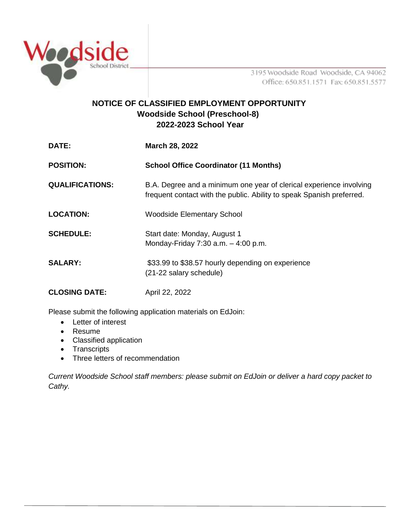

3195 Woodside Road Woodside, CA 94062 Office: 650.851.1571 Fax: 650.851.5577

## **NOTICE OF CLASSIFIED EMPLOYMENT OPPORTUNITY Woodside School (Preschool-8) 2022-2023 School Year**

| DATE:                  | March 28, 2022                                                                                                                               |
|------------------------|----------------------------------------------------------------------------------------------------------------------------------------------|
| <b>POSITION:</b>       | <b>School Office Coordinator (11 Months)</b>                                                                                                 |
| <b>QUALIFICATIONS:</b> | B.A. Degree and a minimum one year of clerical experience involving<br>frequent contact with the public. Ability to speak Spanish preferred. |
| <b>LOCATION:</b>       | <b>Woodside Elementary School</b>                                                                                                            |
| <b>SCHEDULE:</b>       | Start date: Monday, August 1<br>Monday-Friday 7:30 a.m. $-$ 4:00 p.m.                                                                        |
| <b>SALARY:</b>         | \$33.99 to \$38.57 hourly depending on experience<br>(21-22 salary schedule)                                                                 |
| <b>CLOSING DATE:</b>   | April 22, 2022                                                                                                                               |

Please submit the following application materials on EdJoin:

- Letter of interest
- Resume
- Classified application
- Transcripts
- Three letters of recommendation

*Current Woodside School staff members: please submit on EdJoin or deliver a hard copy packet to Cathy.*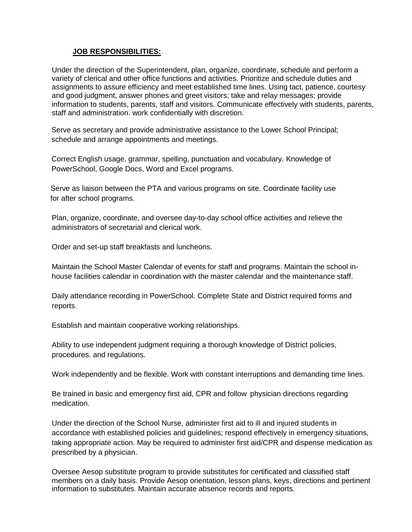## **JOB RESPONSIBILITIES:**

Under the direction of the Superintendent, plan, organize, coordinate, schedule and perform a variety of clerical and other office functions and activities. Prioritize and schedule duties and assignments to assure efficiency and meet established time lines. Using tact, patience, courtesy and good judgment, answer phones and greet visitors; take and relay messages; provide information to students, parents, staff and visitors. Communicate effectively with students, parents, staff and administration. work confidentially with discretion.

Serve as secretary and provide administrative assistance to the Lower School Principal; schedule and arrange appointments and meetings.

Correct English usage, grammar, spelling, punctuation and vocabulary. Knowledge of PowerSchool, Google Docs, Word and Excel programs.

Serve as liaison between the PTA and various programs on site. Coordinate facility use for after school programs.

Plan, organize, coordinate, and oversee day-to-day school office activities and relieve the administrators of secretarial and clerical work.

Order and set-up staff breakfasts and luncheons.

Maintain the School Master Calendar of events for staff and programs. Maintain the school inhouse facilities calendar in coordination with the master calendar and the maintenance staff.

Daily attendance recording in PowerSchool. Complete State and District required forms and reports.

Establish and maintain cooperative working relationships.

Ability to use independent judgment requiring a thorough knowledge of District policies, procedures. and regulations.

Work independently and be flexible. Work with constant interruptions and demanding time lines.

Be trained in basic and emergency first aid, CPR and follow physician directions regarding medication.

Under the direction of the School Nurse, administer first aid to ill and injured students in accordance with established policies and guidelines; respond effectively in emergency situations, taking appropriate action. May be required to administer first aid/CPR and dispense medication as prescribed by a physician.

Oversee Aesop substitute program to provide substitutes for certificated and classified staff members on a daily basis. Provide Aesop orientation, lesson plans, keys, directions and pertinent information to substitutes. Maintain accurate absence records and reports.